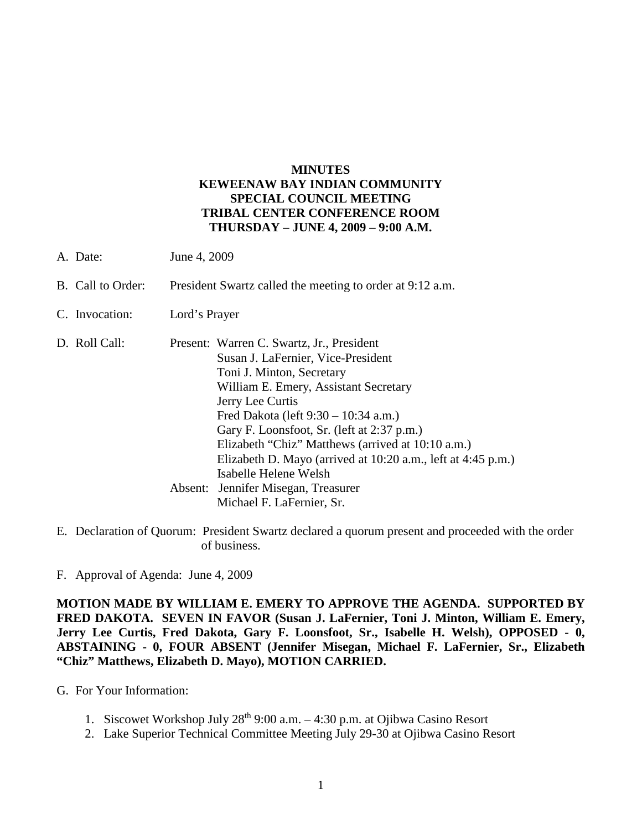## **MINUTES KEWEENAW BAY INDIAN COMMUNITY SPECIAL COUNCIL MEETING TRIBAL CENTER CONFERENCE ROOM THURSDAY – JUNE 4, 2009 – 9:00 A.M.**

- A. Date: June 4, 2009
- B. Call to Order: President Swartz called the meeting to order at 9:12 a.m.
- C. Invocation: Lord's Prayer
- D. Roll Call: Present: Warren C. Swartz, Jr., President Susan J. LaFernier, Vice-President Toni J. Minton, Secretary William E. Emery, Assistant Secretary Jerry Lee Curtis Fred Dakota (left 9:30 – 10:34 a.m.) Gary F. Loonsfoot, Sr. (left at 2:37 p.m.) Elizabeth "Chiz" Matthews (arrived at 10:10 a.m.) Elizabeth D. Mayo (arrived at 10:20 a.m., left at 4:45 p.m.) Isabelle Helene Welsh Absent: Jennifer Misegan, Treasurer Michael F. LaFernier, Sr.
- E. Declaration of Quorum: President Swartz declared a quorum present and proceeded with the order of business.
- F. Approval of Agenda: June 4, 2009

**MOTION MADE BY WILLIAM E. EMERY TO APPROVE THE AGENDA. SUPPORTED BY FRED DAKOTA. SEVEN IN FAVOR (Susan J. LaFernier, Toni J. Minton, William E. Emery, Jerry Lee Curtis, Fred Dakota, Gary F. Loonsfoot, Sr., Isabelle H. Welsh), OPPOSED - 0, ABSTAINING - 0, FOUR ABSENT (Jennifer Misegan, Michael F. LaFernier, Sr., Elizabeth "Chiz" Matthews, Elizabeth D. Mayo), MOTION CARRIED.**

- G. For Your Information:
	- 1. Siscowet Workshop July  $28^{th}$  9:00 a.m.  $-4:30$  p.m. at Ojibwa Casino Resort
	- 2. Lake Superior Technical Committee Meeting July 29-30 at Ojibwa Casino Resort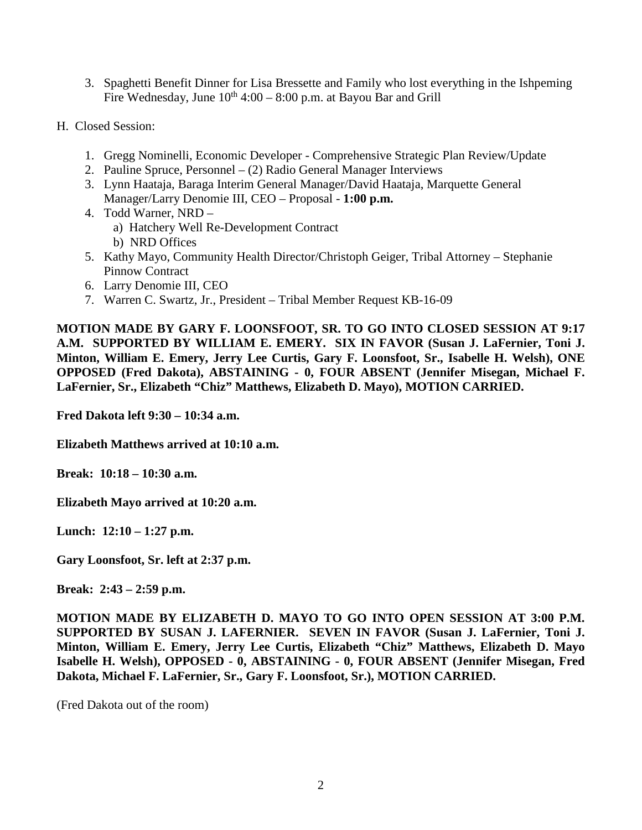- 3. Spaghetti Benefit Dinner for Lisa Bressette and Family who lost everything in the Ishpeming Fire Wednesday, June  $10^{th}$  4:00 – 8:00 p.m. at Bayou Bar and Grill
- H. Closed Session:
	- 1. Gregg Nominelli, Economic Developer Comprehensive Strategic Plan Review/Update
	- 2. Pauline Spruce, Personnel (2) Radio General Manager Interviews
	- 3. Lynn Haataja, Baraga Interim General Manager/David Haataja, Marquette General Manager/Larry Denomie III, CEO – Proposal - **1:00 p.m.**
	- 4. Todd Warner, NRD a) Hatchery Well Re-Development Contract b) NRD Offices
	- 5. Kathy Mayo, Community Health Director/Christoph Geiger, Tribal Attorney Stephanie Pinnow Contract
	- 6. Larry Denomie III, CEO
	- 7. Warren C. Swartz, Jr., President Tribal Member Request KB-16-09

**MOTION MADE BY GARY F. LOONSFOOT, SR. TO GO INTO CLOSED SESSION AT 9:17 A.M. SUPPORTED BY WILLIAM E. EMERY. SIX IN FAVOR (Susan J. LaFernier, Toni J. Minton, William E. Emery, Jerry Lee Curtis, Gary F. Loonsfoot, Sr., Isabelle H. Welsh), ONE OPPOSED (Fred Dakota), ABSTAINING - 0, FOUR ABSENT (Jennifer Misegan, Michael F. LaFernier, Sr., Elizabeth "Chiz" Matthews, Elizabeth D. Mayo), MOTION CARRIED.**

**Fred Dakota left 9:30 – 10:34 a.m.**

**Elizabeth Matthews arrived at 10:10 a.m.**

**Break: 10:18 – 10:30 a.m.**

**Elizabeth Mayo arrived at 10:20 a.m.**

**Lunch: 12:10 – 1:27 p.m.**

**Gary Loonsfoot, Sr. left at 2:37 p.m.**

**Break: 2:43 – 2:59 p.m.**

**MOTION MADE BY ELIZABETH D. MAYO TO GO INTO OPEN SESSION AT 3:00 P.M. SUPPORTED BY SUSAN J. LAFERNIER. SEVEN IN FAVOR (Susan J. LaFernier, Toni J. Minton, William E. Emery, Jerry Lee Curtis, Elizabeth "Chiz" Matthews, Elizabeth D. Mayo Isabelle H. Welsh), OPPOSED - 0, ABSTAINING - 0, FOUR ABSENT (Jennifer Misegan, Fred Dakota, Michael F. LaFernier, Sr., Gary F. Loonsfoot, Sr.), MOTION CARRIED.**

(Fred Dakota out of the room)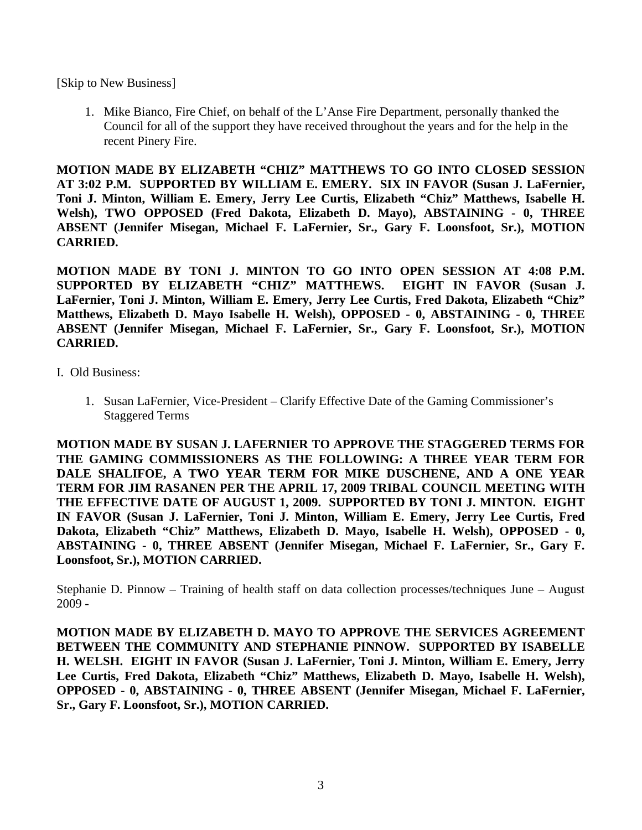[Skip to New Business]

1. Mike Bianco, Fire Chief, on behalf of the L'Anse Fire Department, personally thanked the Council for all of the support they have received throughout the years and for the help in the recent Pinery Fire.

**MOTION MADE BY ELIZABETH "CHIZ" MATTHEWS TO GO INTO CLOSED SESSION AT 3:02 P.M. SUPPORTED BY WILLIAM E. EMERY. SIX IN FAVOR (Susan J. LaFernier, Toni J. Minton, William E. Emery, Jerry Lee Curtis, Elizabeth "Chiz" Matthews, Isabelle H. Welsh), TWO OPPOSED (Fred Dakota, Elizabeth D. Mayo), ABSTAINING - 0, THREE ABSENT (Jennifer Misegan, Michael F. LaFernier, Sr., Gary F. Loonsfoot, Sr.), MOTION CARRIED.**

**MOTION MADE BY TONI J. MINTON TO GO INTO OPEN SESSION AT 4:08 P.M. SUPPORTED BY ELIZABETH "CHIZ" MATTHEWS. EIGHT IN FAVOR (Susan J. LaFernier, Toni J. Minton, William E. Emery, Jerry Lee Curtis, Fred Dakota, Elizabeth "Chiz" Matthews, Elizabeth D. Mayo Isabelle H. Welsh), OPPOSED - 0, ABSTAINING - 0, THREE ABSENT (Jennifer Misegan, Michael F. LaFernier, Sr., Gary F. Loonsfoot, Sr.), MOTION CARRIED.**

## I. Old Business:

1. Susan LaFernier, Vice-President – Clarify Effective Date of the Gaming Commissioner's Staggered Terms

**MOTION MADE BY SUSAN J. LAFERNIER TO APPROVE THE STAGGERED TERMS FOR THE GAMING COMMISSIONERS AS THE FOLLOWING: A THREE YEAR TERM FOR DALE SHALIFOE, A TWO YEAR TERM FOR MIKE DUSCHENE, AND A ONE YEAR TERM FOR JIM RASANEN PER THE APRIL 17, 2009 TRIBAL COUNCIL MEETING WITH THE EFFECTIVE DATE OF AUGUST 1, 2009. SUPPORTED BY TONI J. MINTON. EIGHT IN FAVOR (Susan J. LaFernier, Toni J. Minton, William E. Emery, Jerry Lee Curtis, Fred Dakota, Elizabeth "Chiz" Matthews, Elizabeth D. Mayo, Isabelle H. Welsh), OPPOSED - 0, ABSTAINING - 0, THREE ABSENT (Jennifer Misegan, Michael F. LaFernier, Sr., Gary F. Loonsfoot, Sr.), MOTION CARRIED.**

Stephanie D. Pinnow – Training of health staff on data collection processes/techniques June – August  $2009 -$ 

**MOTION MADE BY ELIZABETH D. MAYO TO APPROVE THE SERVICES AGREEMENT BETWEEN THE COMMUNITY AND STEPHANIE PINNOW. SUPPORTED BY ISABELLE H. WELSH. EIGHT IN FAVOR (Susan J. LaFernier, Toni J. Minton, William E. Emery, Jerry Lee Curtis, Fred Dakota, Elizabeth "Chiz" Matthews, Elizabeth D. Mayo, Isabelle H. Welsh), OPPOSED - 0, ABSTAINING - 0, THREE ABSENT (Jennifer Misegan, Michael F. LaFernier, Sr., Gary F. Loonsfoot, Sr.), MOTION CARRIED.**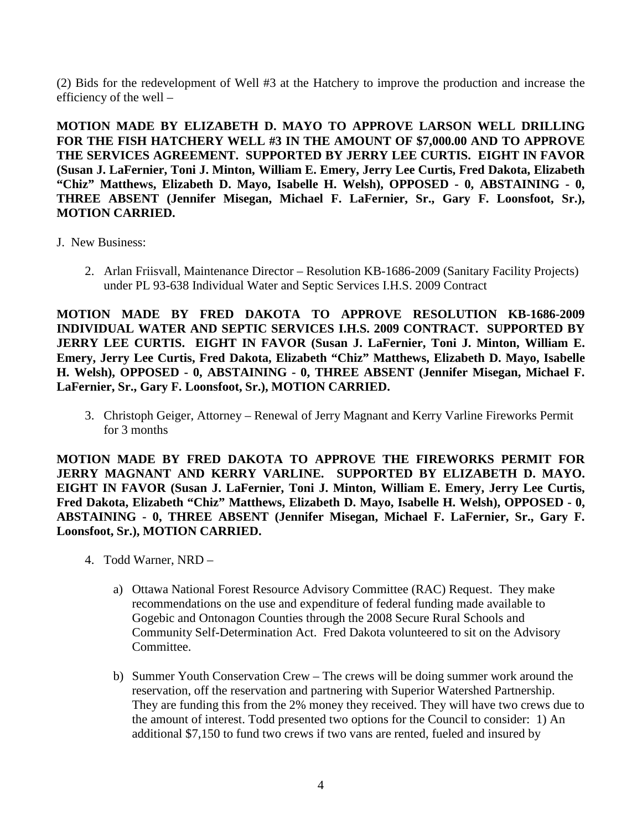(2) Bids for the redevelopment of Well #3 at the Hatchery to improve the production and increase the efficiency of the well –

**MOTION MADE BY ELIZABETH D. MAYO TO APPROVE LARSON WELL DRILLING FOR THE FISH HATCHERY WELL #3 IN THE AMOUNT OF \$7,000.00 AND TO APPROVE THE SERVICES AGREEMENT. SUPPORTED BY JERRY LEE CURTIS. EIGHT IN FAVOR (Susan J. LaFernier, Toni J. Minton, William E. Emery, Jerry Lee Curtis, Fred Dakota, Elizabeth "Chiz" Matthews, Elizabeth D. Mayo, Isabelle H. Welsh), OPPOSED - 0, ABSTAINING - 0, THREE ABSENT (Jennifer Misegan, Michael F. LaFernier, Sr., Gary F. Loonsfoot, Sr.), MOTION CARRIED.**

- J. New Business:
	- 2. Arlan Friisvall, Maintenance Director Resolution KB-1686-2009 (Sanitary Facility Projects) under PL 93-638 Individual Water and Septic Services I.H.S. 2009 Contract

**MOTION MADE BY FRED DAKOTA TO APPROVE RESOLUTION KB-1686-2009 INDIVIDUAL WATER AND SEPTIC SERVICES I.H.S. 2009 CONTRACT. SUPPORTED BY JERRY LEE CURTIS. EIGHT IN FAVOR (Susan J. LaFernier, Toni J. Minton, William E. Emery, Jerry Lee Curtis, Fred Dakota, Elizabeth "Chiz" Matthews, Elizabeth D. Mayo, Isabelle H. Welsh), OPPOSED - 0, ABSTAINING - 0, THREE ABSENT (Jennifer Misegan, Michael F. LaFernier, Sr., Gary F. Loonsfoot, Sr.), MOTION CARRIED.**

3. Christoph Geiger, Attorney – Renewal of Jerry Magnant and Kerry Varline Fireworks Permit for 3 months

**MOTION MADE BY FRED DAKOTA TO APPROVE THE FIREWORKS PERMIT FOR JERRY MAGNANT AND KERRY VARLINE. SUPPORTED BY ELIZABETH D. MAYO. EIGHT IN FAVOR (Susan J. LaFernier, Toni J. Minton, William E. Emery, Jerry Lee Curtis, Fred Dakota, Elizabeth "Chiz" Matthews, Elizabeth D. Mayo, Isabelle H. Welsh), OPPOSED - 0, ABSTAINING - 0, THREE ABSENT (Jennifer Misegan, Michael F. LaFernier, Sr., Gary F. Loonsfoot, Sr.), MOTION CARRIED.**

- 4. Todd Warner, NRD
	- a) Ottawa National Forest Resource Advisory Committee (RAC) Request. They make recommendations on the use and expenditure of federal funding made available to Gogebic and Ontonagon Counties through the 2008 Secure Rural Schools and Community Self-Determination Act. Fred Dakota volunteered to sit on the Advisory Committee.
	- b) Summer Youth Conservation Crew The crews will be doing summer work around the reservation, off the reservation and partnering with Superior Watershed Partnership. They are funding this from the 2% money they received. They will have two crews due to the amount of interest. Todd presented two options for the Council to consider: 1) An additional \$7,150 to fund two crews if two vans are rented, fueled and insured by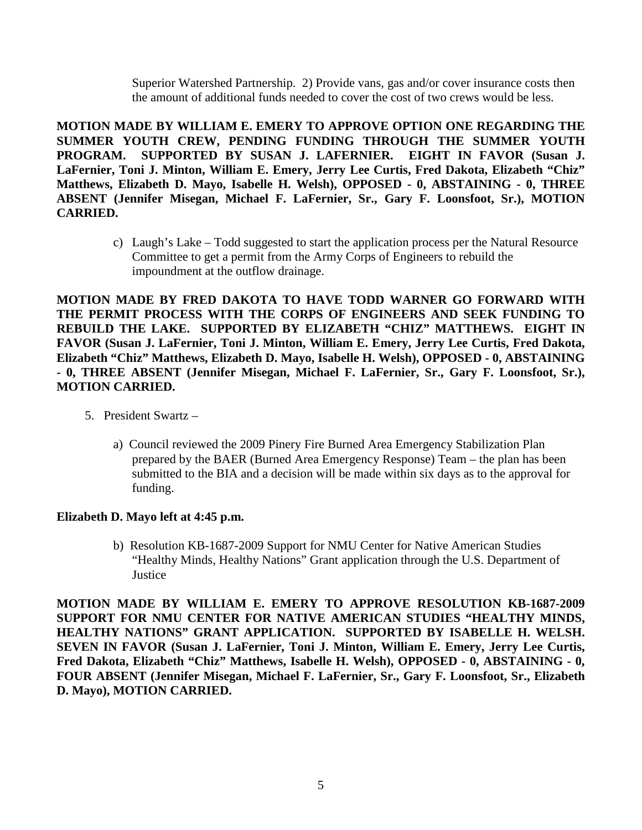Superior Watershed Partnership. 2) Provide vans, gas and/or cover insurance costs then the amount of additional funds needed to cover the cost of two crews would be less.

**MOTION MADE BY WILLIAM E. EMERY TO APPROVE OPTION ONE REGARDING THE SUMMER YOUTH CREW, PENDING FUNDING THROUGH THE SUMMER YOUTH PROGRAM. SUPPORTED BY SUSAN J. LAFERNIER. EIGHT IN FAVOR (Susan J. LaFernier, Toni J. Minton, William E. Emery, Jerry Lee Curtis, Fred Dakota, Elizabeth "Chiz" Matthews, Elizabeth D. Mayo, Isabelle H. Welsh), OPPOSED - 0, ABSTAINING - 0, THREE ABSENT (Jennifer Misegan, Michael F. LaFernier, Sr., Gary F. Loonsfoot, Sr.), MOTION CARRIED.**

> c) Laugh's Lake – Todd suggested to start the application process per the Natural Resource Committee to get a permit from the Army Corps of Engineers to rebuild the impoundment at the outflow drainage.

**MOTION MADE BY FRED DAKOTA TO HAVE TODD WARNER GO FORWARD WITH THE PERMIT PROCESS WITH THE CORPS OF ENGINEERS AND SEEK FUNDING TO REBUILD THE LAKE. SUPPORTED BY ELIZABETH "CHIZ" MATTHEWS. EIGHT IN FAVOR (Susan J. LaFernier, Toni J. Minton, William E. Emery, Jerry Lee Curtis, Fred Dakota, Elizabeth "Chiz" Matthews, Elizabeth D. Mayo, Isabelle H. Welsh), OPPOSED - 0, ABSTAINING - 0, THREE ABSENT (Jennifer Misegan, Michael F. LaFernier, Sr., Gary F. Loonsfoot, Sr.), MOTION CARRIED.**

- 5. President Swartz
	- a) Council reviewed the 2009 Pinery Fire Burned Area Emergency Stabilization Plan prepared by the BAER (Burned Area Emergency Response) Team – the plan has been submitted to the BIA and a decision will be made within six days as to the approval for funding.

## **Elizabeth D. Mayo left at 4:45 p.m.**

b) Resolution KB-1687-2009 Support for NMU Center for Native American Studies "Healthy Minds, Healthy Nations" Grant application through the U.S. Department of **Justice** 

**MOTION MADE BY WILLIAM E. EMERY TO APPROVE RESOLUTION KB-1687-2009 SUPPORT FOR NMU CENTER FOR NATIVE AMERICAN STUDIES "HEALTHY MINDS, HEALTHY NATIONS" GRANT APPLICATION. SUPPORTED BY ISABELLE H. WELSH. SEVEN IN FAVOR (Susan J. LaFernier, Toni J. Minton, William E. Emery, Jerry Lee Curtis, Fred Dakota, Elizabeth "Chiz" Matthews, Isabelle H. Welsh), OPPOSED - 0, ABSTAINING - 0, FOUR ABSENT (Jennifer Misegan, Michael F. LaFernier, Sr., Gary F. Loonsfoot, Sr., Elizabeth D. Mayo), MOTION CARRIED.**